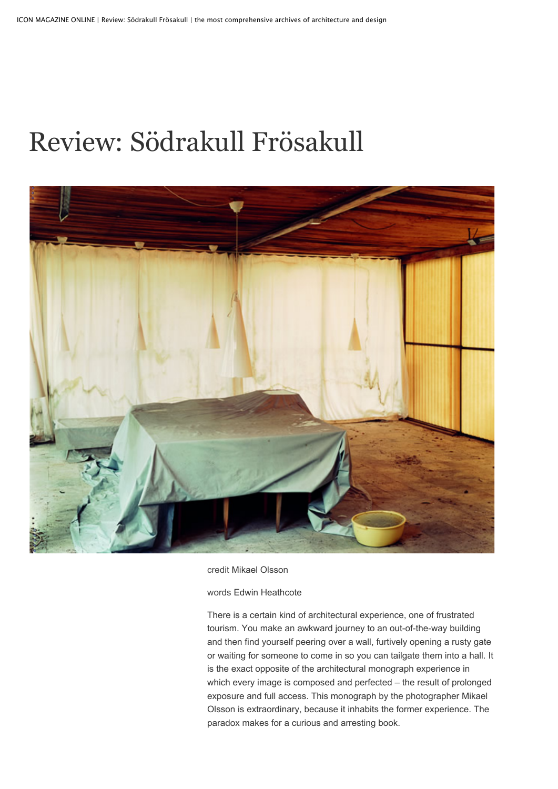## retrem soulant Review: Södrakull Frösakull



credit Mikael Olsson

words Edwin Heathcote

There is a certain kind of architectural experience, one of frustrated tourism. You make an awkward journey to an out-of-the-way building and then find yourself peering over a wall, furtively opening a rusty gate or waiting for someone to come in so you can tailgate them into a hall. It is the exact opposite of the architectural monograph experience in which every image is composed and perfected – the result of prolonged exposure and full access. This monograph by the photographer Mikael Olsson is extraordinary, because it inhabits the former experience. The paradox makes for a curious and arresting book.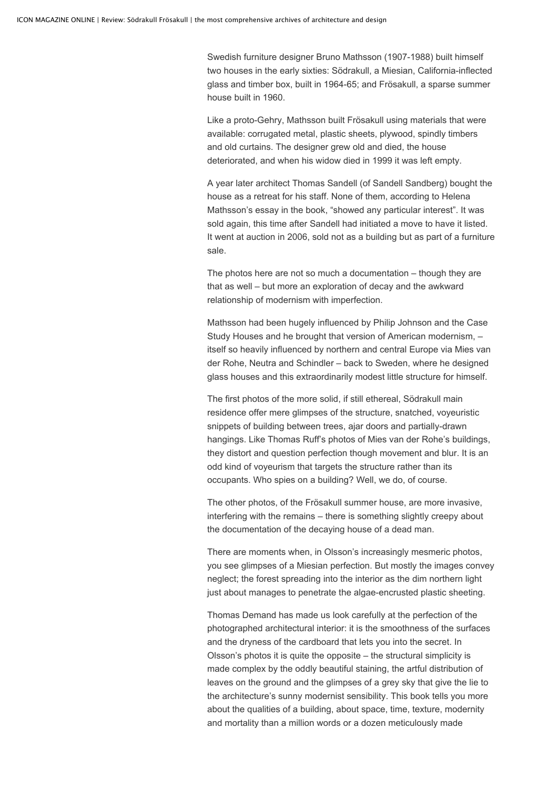Swedish furniture designer Bruno Mathsson (1907-1988) built himself two houses in the early sixties: Södrakull, a Miesian, California-inflected glass and timber box, built in 1964-65; and Frösakull, a sparse summer house built in 1960.

Like a proto-Gehry, Mathsson built Frösakull using materials that were available: corrugated metal, plastic sheets, plywood, spindly timbers and old curtains. The designer grew old and died, the house deteriorated, and when his widow died in 1999 it was left empty.

A year later architect Thomas Sandell (of Sandell Sandberg) bought the house as a retreat for his staff. None of them, according to Helena Mathsson's essay in the book, "showed any particular interest". It was sold again, this time after Sandell had initiated a move to have it listed. It went at auction in 2006, sold not as a building but as part of a furniture sale.

The photos here are not so much a documentation – though they are that as well – but more an exploration of decay and the awkward relationship of modernism with imperfection.

Mathsson had been hugely influenced by Philip Johnson and the Case Study Houses and he brought that version of American modernism, – itself so heavily influenced by northern and central Europe via Mies van der Rohe, Neutra and Schindler – back to Sweden, where he designed glass houses and this extraordinarily modest little structure for himself.

The first photos of the more solid, if still ethereal, Södrakull main residence offer mere glimpses of the structure, snatched, voyeuristic snippets of building between trees, ajar doors and partially-drawn hangings. Like Thomas Ruff's photos of Mies van der Rohe's buildings, they distort and question perfection though movement and blur. It is an odd kind of voyeurism that targets the structure rather than its occupants. Who spies on a building? Well, we do, of course.

The other photos, of the Frösakull summer house, are more invasive, interfering with the remains – there is something slightly creepy about the documentation of the decaying house of a dead man.

There are moments when, in Olsson's increasingly mesmeric photos, you see glimpses of a Miesian perfection. But mostly the images convey neglect; the forest spreading into the interior as the dim northern light just about manages to penetrate the algae-encrusted plastic sheeting.

Thomas Demand has made us look carefully at the perfection of the photographed architectural interior: it is the smoothness of the surfaces and the dryness of the cardboard that lets you into the secret. In Olsson's photos it is quite the opposite – the structural simplicity is made complex by the oddly beautiful staining, the artful distribution of leaves on the ground and the glimpses of a grey sky that give the lie to the architecture's sunny modernist sensibility. This book tells you more about the qualities of a building, about space, time, texture, modernity and mortality than a million words or a dozen meticulously made